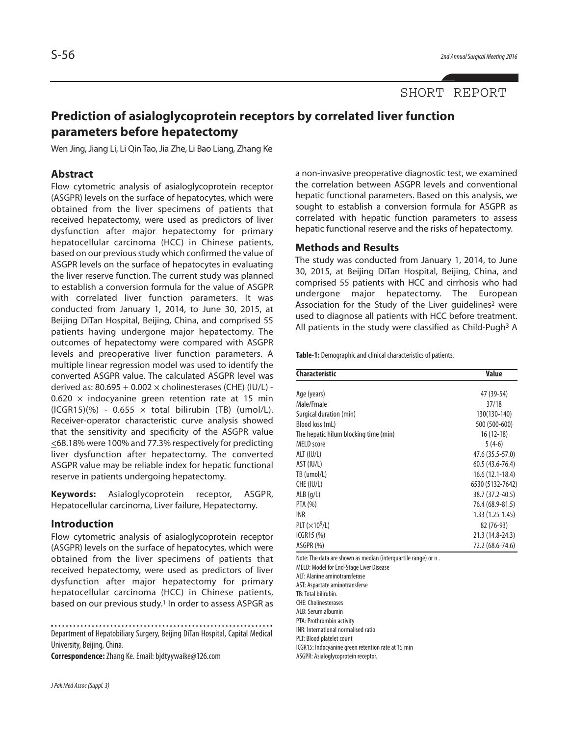# **Prediction of asialoglycoprotein receptors by correlated liver function parameters before hepatectomy**

Wen Jing, Jiang Li, Li Qin Tao, Jia Zhe, Li Bao Liang, Zhang Ke

# **Abstract**

Flow cytometric analysis of asialoglycoprotein receptor (ASGPR) levels on the surface of hepatocytes, which were obtained from the liver specimens of patients that received hepatectomy, were used as predictors of liver dysfunction after major hepatectomy for primary hepatocellular carcinoma (HCC) in Chinese patients, based on our previous study which confirmed the value of ASGPR levels on the surface of hepatocytes in evaluating the liver reserve function. The current study was planned to establish a conversion formula for the value of ASGPR with correlated liver function parameters. It was conducted from January 1, 2014, to June 30, 2015, at Beijing DiTan Hospital, Beijing, China, and comprised 55 patients having undergone major hepatectomy. The outcomes of hepatectomy were compared with ASGPR levels and preoperative liver function parameters. A multiple linear regression model was used to identify the converted ASGPR value. The calculated ASGPR level was derived as:  $80.695 + 0.002 \times$  cholinesterases (CHE) (IU/L) - $0.620 \times$  indocyanine green retention rate at 15 min  $(ICGR15)(%) - 0.655 \times total$  bilirubin (TB) (umol/L). Receiver-operator characteristic curve analysis showed that the sensitivity and specificity of the ASGPR value <68.18% were 100% and 77.3% respectively for predicting liver dysfunction after hepatectomy. The converted ASGPR value may be reliable index for hepatic functional reserve in patients undergoing hepatectomy.

**Keywords:** Asialoglycoprotein receptor, ASGPR, Hepatocellular carcinoma, Liver failure, Hepatectomy.

#### **Introduction**

Flow cytometric analysis of asialoglycoprotein receptor (ASGPR) levels on the surface of hepatocytes, which were obtained from the liver specimens of patients that received hepatectomy, were used as predictors of liver dysfunction after major hepatectomy for primary hepatocellular carcinoma (HCC) in Chinese patients, based on our previous study. <sup>1</sup> In order to assess ASPGR as

Department of Hepatobiliary Surgery, Beijing DiTan Hospital, Capital Medical University, Beijing, China.

**Correspondence:**Zhang Ke.Email:bjdtyywaike@126.com

a non-invasive preoperative diagnostic test, we examined the correlation between ASGPR levels and conventional hepatic functional parameters. Based on this analysis, we sought to establish a conversion formula for ASGPR as correlated with hepatic function parameters to assess hepatic functional reserve and the risks of hepatectomy.

#### **Methods and Results**

The study was conducted from January 1, 2014, to June 30, 2015, at Beijing DiTan Hospital, Beijing, China, and comprised 55 patients with HCC and cirrhosis who had undergone major hepatectomy. The European Association for the Study of the Liver guidelines<sup>2</sup> were used to diagnose all patients with HCC before treatment. All patients in the study were classified as Child-Pugh<sup>3</sup> A

Table-1: Demographic and clinical characteristics of patients.

| <b>Characteristic</b>                 | Value               |  |  |
|---------------------------------------|---------------------|--|--|
|                                       |                     |  |  |
| Age (years)                           | 47 (39-54)          |  |  |
| Male/Fmale                            | 37/18               |  |  |
| Surgical duration (min)               | 130(130-140)        |  |  |
| Blood loss (mL)                       | 500 (500-600)       |  |  |
| The hepatic hilum blocking time (min) | 16 (12-18)          |  |  |
| <b>MELD</b> score                     | $5(4-6)$            |  |  |
| ALT (IU/L)                            | 47.6 (35.5-57.0)    |  |  |
| AST (IU/L)                            | $60.5(43.6 - 76.4)$ |  |  |
| TB (umol/L)                           | $16.6(12.1-18.4)$   |  |  |
| CHE (IU/L)                            | 6530 (5132-7642)    |  |  |
| ALB(q/L)                              | 38.7 (37.2-40.5)    |  |  |
| PTA (%)                               | 76.4 (68.9-81.5)    |  |  |
| INR                                   | $1.33(1.25-1.45)$   |  |  |
| PLT $(\times 10^9$ /L)                | 82 (76-93)          |  |  |
| ICGR15 (%)                            | 21.3 (14.8-24.3)    |  |  |
| ASGPR (%)                             | 72.2 (68.6-74.6)    |  |  |

Note: The data are shown as median (interquartile range) or n.

MELD: Model for End-Stage Liver Disease

ALT: Alanine aminotransferase

AST: Aspartate aminotransferse

TB: Total bilirubin.

CHE: Cholinesterases ALB:Serum albumin

PTA: Prothrombin activity

INR: International normalised ratio

PLT: Blood platelet count

ICGR15: Indocyanine green retention rate at 15 min

ASGPR: Asialoglycoprotein receptor.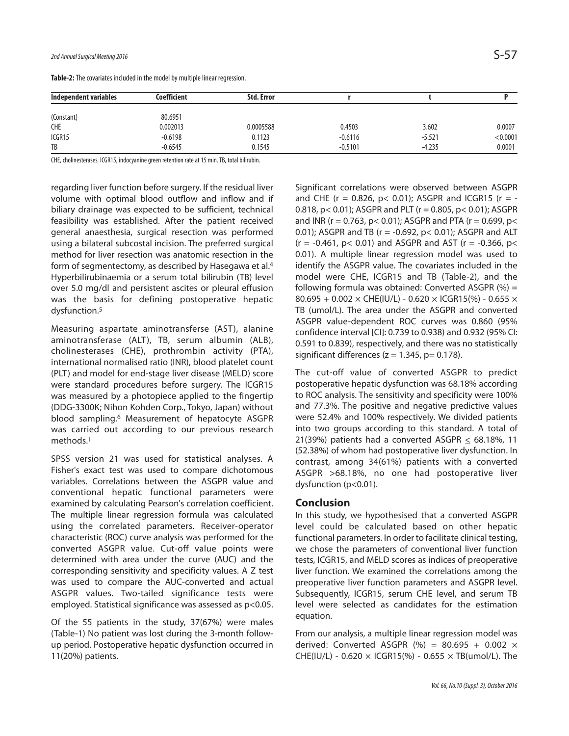| Independent variables | Coefficient | <b>Std. Error</b> |           |          |          |
|-----------------------|-------------|-------------------|-----------|----------|----------|
| (Constant)            | 80.6951     |                   |           |          |          |
| <b>CHE</b>            | 0.002013    | 0.0005588         | 0.4503    | 3.602    | 0.0007   |
| ICGR15                | $-0.6198$   | 0.1123            | $-0.6116$ | $-5.521$ | < 0.0001 |
| TB                    | $-0.6545$   | 0.1545            | $-0.5101$ | $-4.235$ | 0.0001   |

Table-2: The covariates included in the model by multiple linear regression.

CHE, cholinesterases. ICGR15, indocyanine green retention rate at 15 min. TB, total bilirubin.

regarding liver function before surgery. If the residual liver volume with optimal blood outflow and inflow and if biliary drainage was expected to be sufficient, technical feasibility was established. After the patient received general anaesthesia, surgical resection was performed using a bilateral subcostal incision. The preferred surgical method for liver resection was anatomic resection in the form of segmentectomy, as described by Hasegawa et al. 4 Hyperbilirubinaemia or a serum total bilirubin (TB) level over 5.0 mg/dl and persistent ascites or pleural effusion was the basis for defining postoperative hepatic dysfunction. 5

Measuring aspartate aminotransferse (AST), alanine aminotransferase (ALT), TB, serum albumin (ALB), cholinesterases (CHE), prothrombin activity (PTA), international normalised ratio (INR), blood platelet count (PLT) and model for end-stage liver disease (MELD) score were standard procedures before surgery. The ICGR15 was measured by a photopiece applied to the fingertip (DDG-3300K; Nihon Kohden Corp., Tokyo, Japan) without blood sampling. <sup>6</sup> Measurement of hepatocyte ASGPR was carried out according to our previous research methods. 1

SPSS version 21 was used for statistical analyses. A Fisher's exact test was used to compare dichotomous variables. Correlations between the ASGPR value and conventional hepatic functional parameters were examined by calculating Pearson's correlation coefficient. The multiple linear regression formula was calculated using the correlated parameters. Receiver-operator characteristic (ROC) curve analysis was performed for the converted ASGPR value. Cut-off value points were determined with area under the curve (AUC) and the corresponding sensitivity and specificity values. A Z test was used to compare the AUC-converted and actual ASGPR values. Two-tailed significance tests were employed. Statistical significance was assessed as p<0.05.

Of the 55 patients in the study, 37(67%) were males (Table-1) No patient was lost during the 3-month followup period. Postoperative hepatic dysfunction occurred in 11(20%) patients.

Significant correlations were observed between ASGPR and CHE ( $r = 0.826$ ,  $p < 0.01$ ); ASGPR and ICGR15 ( $r = -$ 0.818, p< 0.01); ASGPR and PLT (r = 0.805, p< 0.01); ASGPR and INR ( $r = 0.763$ ,  $p < 0.01$ ); ASGPR and PTA ( $r = 0.699$ ,  $p <$ 0.01); ASGPR and TB ( $r = -0.692$ ,  $p < 0.01$ ); ASGPR and ALT  $(r = -0.461, p < 0.01)$  and ASGPR and AST  $(r = -0.366, p <$ 0.01). A multiple linear regression model was used to identify the ASGPR value. The covariates included in the model were CHE, ICGR15 and TB (Table-2), and the following formula was obtained: Converted ASGPR  $(\%) =$ 80.695 + 0.002  $\times$  CHE(IU/L) - 0.620  $\times$  ICGR15(%) - 0.655  $\times$ TB (umol/L). The area under the ASGPR and converted ASGPR value-dependent ROC curves was 0.860 (95% confidence interval [CI]: 0.739 to 0.938) and 0.932 (95% CI: 0.591 to 0.839), respectively, and there was no statistically significant differences ( $z = 1.345$ ,  $p = 0.178$ ).

The cut-off value of converted ASGPR to predict postoperative hepatic dysfunction was 68.18% according to ROC analysis. The sensitivity and specificity were 100% and 77.3%. The positive and negative predictive values were 52.4% and 100% respectively. We divided patients into two groups according to this standard. A total of 21(39%) patients had a converted ASGPR  $\leq$  68.18%, 11 (52.38%) of whom had postoperative liver dysfunction. In contrast, among 34(61%) patients with a converted ASGPR >68.18%, no one had postoperative liver dysfunction (p<0.01).

# **Conclusion**

In this study, we hypothesised that a converted ASGPR level could be calculated based on other hepatic functional parameters. In order to facilitate clinical testing, we chose the parameters of conventional liver function tests, ICGR15, and MELD scores as indices of preoperative liver function. We examined the correlations among the preoperative liver function parameters and ASGPR level. Subsequently, ICGR15, serum CHE level, and serum TB level were selected as candidates for the estimation equation.

From our analysis, a multiple linear regression model was derived: Converted ASGPR (%) = 80.695 + 0.002  $\times$ CHE(IU/L) - 0.620  $\times$  ICGR15(%) - 0.655  $\times$  TB(umol/L). The